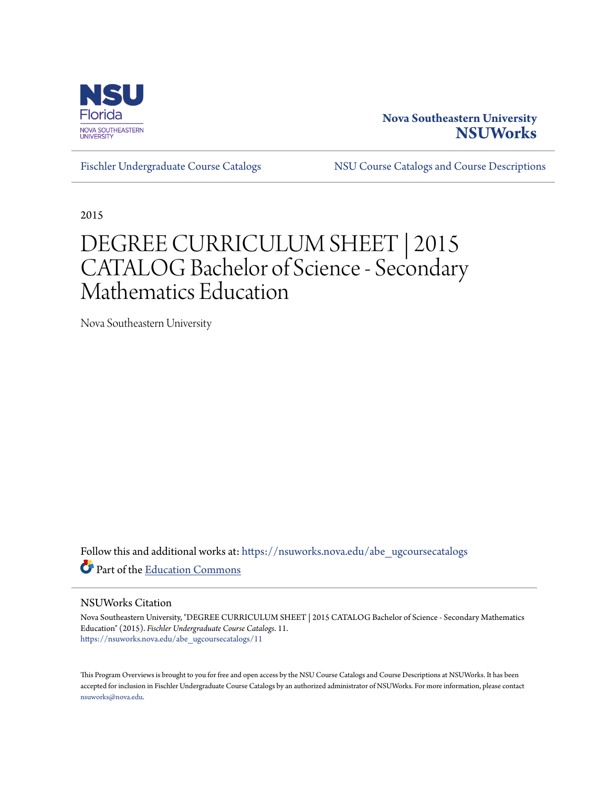

# **Nova Southeastern University [NSUWorks](https://nsuworks.nova.edu?utm_source=nsuworks.nova.edu%2Fabe_ugcoursecatalogs%2F11&utm_medium=PDF&utm_campaign=PDFCoverPages)**

[Fischler Undergraduate Course Catalogs](https://nsuworks.nova.edu/abe_ugcoursecatalogs?utm_source=nsuworks.nova.edu%2Fabe_ugcoursecatalogs%2F11&utm_medium=PDF&utm_campaign=PDFCoverPages) [NSU Course Catalogs and Course Descriptions](https://nsuworks.nova.edu/nsu_catalogs?utm_source=nsuworks.nova.edu%2Fabe_ugcoursecatalogs%2F11&utm_medium=PDF&utm_campaign=PDFCoverPages)

2015

# DEGREE CURRICULUM SHEET | 2015 CATALOG Bachelor of Science - Secondary Mathematics Education

Nova Southeastern University

Follow this and additional works at: [https://nsuworks.nova.edu/abe\\_ugcoursecatalogs](https://nsuworks.nova.edu/abe_ugcoursecatalogs?utm_source=nsuworks.nova.edu%2Fabe_ugcoursecatalogs%2F11&utm_medium=PDF&utm_campaign=PDFCoverPages) Part of the [Education Commons](http://network.bepress.com/hgg/discipline/784?utm_source=nsuworks.nova.edu%2Fabe_ugcoursecatalogs%2F11&utm_medium=PDF&utm_campaign=PDFCoverPages)

### NSUWorks Citation

Nova Southeastern University, "DEGREE CURRICULUM SHEET | 2015 CATALOG Bachelor of Science - Secondary Mathematics Education" (2015). *Fischler Undergraduate Course Catalogs*. 11. [https://nsuworks.nova.edu/abe\\_ugcoursecatalogs/11](https://nsuworks.nova.edu/abe_ugcoursecatalogs/11?utm_source=nsuworks.nova.edu%2Fabe_ugcoursecatalogs%2F11&utm_medium=PDF&utm_campaign=PDFCoverPages)

This Program Overviews is brought to you for free and open access by the NSU Course Catalogs and Course Descriptions at NSUWorks. It has been accepted for inclusion in Fischler Undergraduate Course Catalogs by an authorized administrator of NSUWorks. For more information, please contact [nsuworks@nova.edu.](mailto:nsuworks@nova.edu)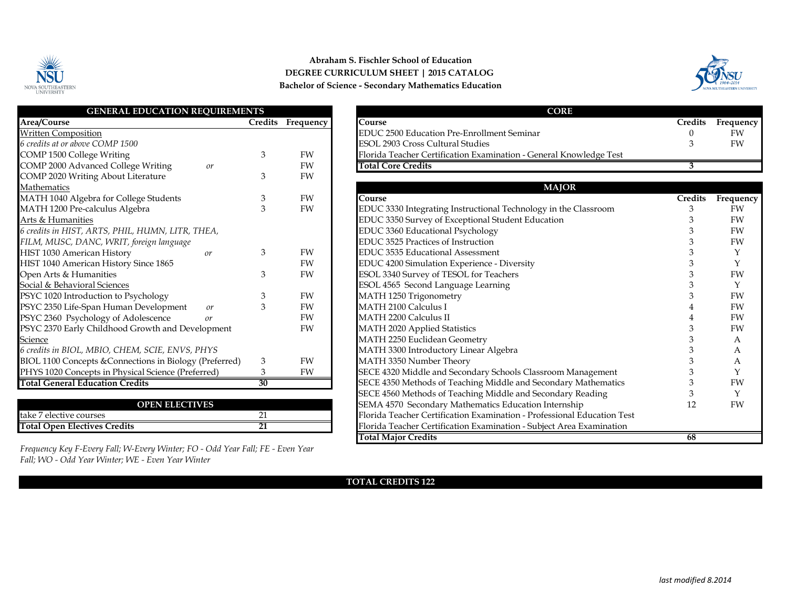

## **Abraham S. Fischler School of Education DEGREE CURRICULUM SHEET | 2015 CATALOG Bachelor of Science - Secondary Mathematics Education**



| <b>GENERAL EDUCATION REQUIREMENTS</b>                   |                |           | <b>CORE</b>                                                        |
|---------------------------------------------------------|----------------|-----------|--------------------------------------------------------------------|
| Area/Course                                             | <b>Credits</b> | Frequency | Course                                                             |
| <b>Written Composition</b>                              |                |           | EDUC 2500 Education Pre-Enrollment Seminar                         |
| 6 credits at or above COMP 1500                         |                |           | <b>ESOL 2903 Cross Cultural Studies</b>                            |
| COMP 1500 College Writing                               | 3              | <b>FW</b> | Florida Teacher Certification Examination - General Knowledge Test |
| COMP 2000 Advanced College Writing<br>or                |                | FW        | <b>Total Core Credits</b>                                          |
| COMP 2020 Writing About Literature                      | 3              | FW        |                                                                    |
| Mathematics                                             |                |           | <b>MAJOR</b>                                                       |
| MATH 1040 Algebra for College Students                  | 3              | <b>FW</b> | Course                                                             |
| MATH 1200 Pre-calculus Algebra                          | 3              | FW        | EDUC 3330 Integrating Instructional Technology in the Classroom    |
| Arts & Humanities                                       |                |           | EDUC 3350 Survey of Exceptional Student Education                  |
| 6 credits in HIST, ARTS, PHIL, HUMN, LITR, THEA,        |                |           | EDUC 3360 Educational Psychology                                   |
| FILM, MUSC, DANC, WRIT, foreign language                |                |           | EDUC 3525 Practices of Instruction                                 |
| HIST 1030 American History<br>or                        | 3              | FW        | EDUC 3535 Educational Assessment                                   |
| HIST 1040 American History Since 1865                   |                | FW        | EDUC 4200 Simulation Experience - Diversity                        |
| Open Arts & Humanities                                  | 3              | FW        | ESOL 3340 Survey of TESOL for Teachers                             |
| Social & Behavioral Sciences                            |                |           | ESOL 4565 Second Language Learning                                 |
| PSYC 1020 Introduction to Psychology                    | 3              | FW        | MATH 1250 Trigonometry                                             |
| PSYC 2350 Life-Span Human Development<br>or             | 3              | <b>FW</b> | <b>MATH 2100 Calculus I</b>                                        |
| PSYC 2360 Psychology of Adolescence<br>or               |                | FW        | <b>MATH 2200 Calculus II</b>                                       |
| PSYC 2370 Early Childhood Growth and Development        |                | FW        | MATH 2020 Applied Statistics                                       |
| <b>Science</b>                                          |                |           | MATH 2250 Euclidean Geometry                                       |
| 6 credits in BIOL, MBIO, CHEM, SCIE, ENVS, PHYS         |                |           | MATH 3300 Introductory Linear Algebra                              |
| BIOL 1100 Concepts & Connections in Biology (Preferred) | 3              | FW        | MATH 3350 Number Theory                                            |
| PHYS 1020 Concepts in Physical Science (Preferred)      | 3              | FW        | SECE 4320 Middle and Secondary Schools Classroom Management        |
| <b>Total General Education Credits</b>                  | 30             |           | SECE 4350 Methods of Teaching Middle and Secondary Mathematics     |
|                                                         |                |           | SECE 4560 Methods of Teaching Middle and Secondary Reading         |

| <b>OPEN ELECTIVES</b>               |  |
|-------------------------------------|--|
| take 7 elective courses             |  |
| <b>Total Open Electives Credits</b> |  |

*Frequency Key F-Every Fall; W-Every Winter; FO - Odd Year Fall; FE - Even Year Fall; WO - Odd Year Winter; WE - Even Year Winter*

| <b>GENERAL EDUCATION REOUIREMENTS</b>    |                |           | <b>CORE</b>                                                        |         |           |
|------------------------------------------|----------------|-----------|--------------------------------------------------------------------|---------|-----------|
| Area/Course                              | <b>Tredits</b> | Frequency | ourse.                                                             | Credits | Frequency |
| Written Composition                      |                |           | <b>EDUC 2500 Education Pre-Enrollment Seminar</b>                  |         | FW        |
| 6 credits at or above COMP 1500          |                |           | <b>ESOL 2903 Cross Cultural Studies</b>                            |         | FW        |
| COMP 1500 College Writing                |                | FW        | Florida Teacher Certification Examination - General Knowledge Test |         |           |
| COMP 2000 Advanced College Writing<br>or |                | FW        | <b>Total Core Credits</b>                                          |         |           |

| <b>MAJOR</b>                                                            |                |              |
|-------------------------------------------------------------------------|----------------|--------------|
| Course                                                                  | <b>Credits</b> | Frequency    |
| EDUC 3330 Integrating Instructional Technology in the Classroom         | 3              | FW           |
| EDUC 3350 Survey of Exceptional Student Education                       |                | FW           |
| EDUC 3360 Educational Psychology                                        |                | FW           |
| EDUC 3525 Practices of Instruction                                      |                | FW           |
| EDUC 3535 Educational Assessment                                        | 3              | Y            |
| EDUC 4200 Simulation Experience - Diversity                             | 3              | Y            |
| ESOL 3340 Survey of TESOL for Teachers                                  | 3              | FW           |
| ESOL 4565 Second Language Learning                                      | 3              | Y            |
| MATH 1250 Trigonometry                                                  |                | FW           |
| <b>MATH 2100 Calculus I</b>                                             |                | FW           |
| MATH 2200 Calculus II                                                   | 4              | FW           |
| <b>MATH 2020 Applied Statistics</b>                                     | 3              | FW           |
| MATH 2250 Euclidean Geometry                                            | 3              | $\mathsf{A}$ |
| MATH 3300 Introductory Linear Algebra                                   | 3              | A            |
| MATH 3350 Number Theory                                                 | 3              | A            |
| SECE 4320 Middle and Secondary Schools Classroom Management             | 3              | Y            |
| SECE 4350 Methods of Teaching Middle and Secondary Mathematics          | 3              | FW           |
| SECE 4560 Methods of Teaching Middle and Secondary Reading              | 3              | Y            |
| SEMA 4570 Secondary Mathematics Education Internship                    | 12             | FW           |
| Florida Teacher Certification Examination - Professional Education Test |                |              |
| Florida Teacher Certification Examination - Subject Area Examination    |                |              |
| <b>Total Major Credits</b>                                              | 68             |              |

#### **TOTAL CREDITS 122**